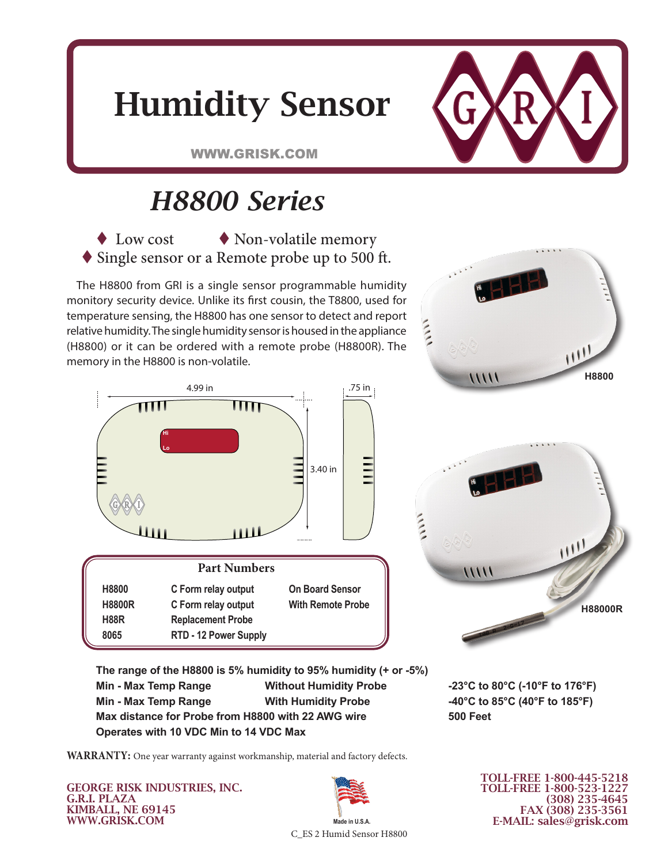



WWW.GRISK.COM

## *H8800 Series*

 $\blacklozenge$  Low cost  $\blacklozenge$  Non-volatile memory ◆ Single sensor or a Remote probe up to 500 ft.

The H8800 from GRI is a single sensor programmable humidity monitory security device. Unlike its first cousin, the T8800, used for temperature sensing, the H8800 has one sensor to detect and report relative humidity. The single humidity sensor is housed in the appliance (H8800) or it can be ordered with a remote probe (H8800R). The memory in the H8800 is non-volatile.



| Part Numbers             |                          |
|--------------------------|--------------------------|
| C Form relay output      | <b>On Board Sensor</b>   |
| C Form relay output      | <b>With Remote Probe</b> |
| <b>Replacement Probe</b> |                          |
| RTD - 12 Power Supply    |                          |
|                          |                          |



3.85 in

 $11111$ 

**The range of the H8800 is 5% humidity to 95% humidity (+ or -5%)** Min - Max Temp Range **Mithout Humidity Probe -23°C to 80°C (-10°F to 176°F) Min - Max Temp Range With Humidity Probe -40°C to 85°C (40°F to 185°F) Max distance for Probe from H8800 with 22 AWG wire 500 Feet** Operates with 10 VDC Min to 14 VDC Max

1.97 in

**WARRANTY:** One year warranty against workmanship, material and factory defects. **H8800&R T8800&R**

GEORGE RISK INDUSTRIES, INC. G.R.I. PLAZA KIMBALL, NE 69145 WWW.GRISK.COM



TOLL-FREE 1-800-445-5218 TOLL-FREE 1-800-523-1227

(308) 235-4645 FAX (308) 235-3561 E-MAIL: sales@grisk.com

**H88000R**

C\_ES 2 Humid Sensor H8800